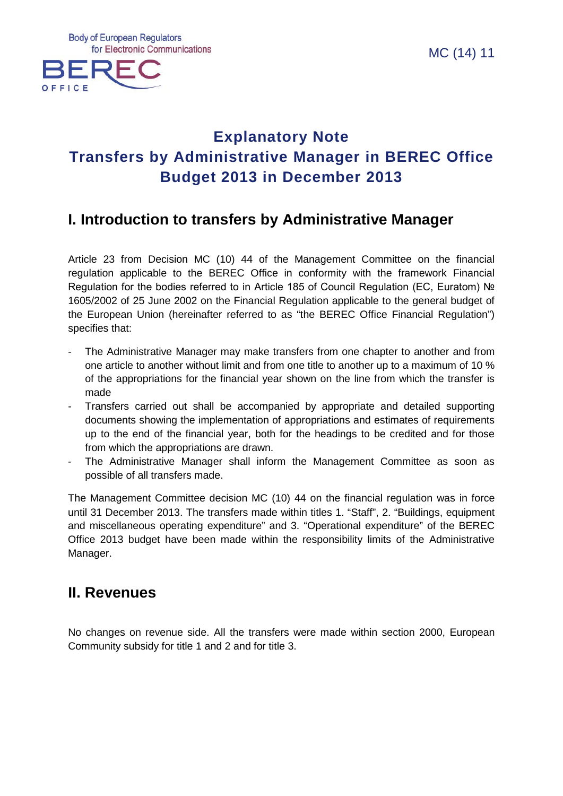

# **Explanatory Note Transfers by Administrative Manager in BEREC Office Budget 2013 in December 2013**

## **I. Introduction to transfers by Administrative Manager**

Article 23 from Decision MC (10) 44 of the Management Committee on the financial regulation applicable to the BEREC Office in conformity with the framework Financial Regulation for the bodies referred to in Article 185 of Council Regulation (EC, Euratom) № 1605/2002 of 25 June 2002 on the Financial Regulation applicable to the general budget of the European Union (hereinafter referred to as "the BEREC Office Financial Regulation") specifies that:

- The Administrative Manager may make transfers from one chapter to another and from one article to another without limit and from one title to another up to a maximum of 10 % of the appropriations for the financial year shown on the line from which the transfer is made
- Transfers carried out shall be accompanied by appropriate and detailed supporting documents showing the implementation of appropriations and estimates of requirements up to the end of the financial year, both for the headings to be credited and for those from which the appropriations are drawn.
- The Administrative Manager shall inform the Management Committee as soon as possible of all transfers made.

The Management Committee decision MC (10) 44 on the financial regulation was in force until 31 December 2013. The transfers made within titles 1. "Staff", 2. "Buildings, equipment and miscellaneous operating expenditure" and 3. "Operational expenditure" of the BEREC Office 2013 budget have been made within the responsibility limits of the Administrative Manager.

## **II. Revenues**

No changes on revenue side. All the transfers were made within section 2000, European Community subsidy for title 1 and 2 and for title 3.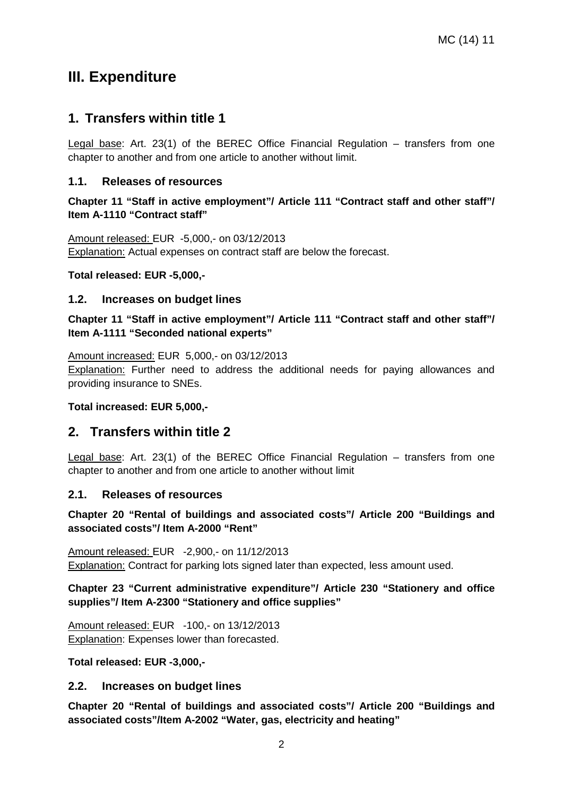### **III. Expenditure**

### **1. Transfers within title 1**

Legal base: Art. 23(1) of the BEREC Office Financial Regulation – transfers from one chapter to another and from one article to another without limit.

#### **1.1. Releases of resources**

#### **Chapter 11 "Staff in active employment"/ Article 111 "Contract staff and other staff"/ Item A-1110 "Contract staff"**

Amount released: EUR -5,000,- on 03/12/2013 **Explanation:** Actual expenses on contract staff are below the forecast.

#### **Total released: EUR -5,000,-**

#### **1.2. Increases on budget lines**

**Chapter 11 "Staff in active employment"/ Article 111 "Contract staff and other staff"/ Item A-1111 "Seconded national experts"**

Amount increased: EUR 5,000,- on 03/12/2013

Explanation: Further need to address the additional needs for paying allowances and providing insurance to SNEs.

#### **Total increased: EUR 5,000,-**

### **2. Transfers within title 2**

Legal base: Art. 23(1) of the BEREC Office Financial Regulation – transfers from one chapter to another and from one article to another without limit

#### **2.1. Releases of resources**

**Chapter 20 "Rental of buildings and associated costs"/ Article 200 "Buildings and associated costs"/ Item A-2000 "Rent"**

Amount released: EUR -2,900,- on 11/12/2013 Explanation: Contract for parking lots signed later than expected, less amount used.

#### **Chapter 23 "Current administrative expenditure"/ Article 230 "Stationery and office supplies"/ Item A-2300 "Stationery and office supplies"**

Amount released: EUR -100,- on 13/12/2013 Explanation: Expenses lower than forecasted.

#### **Total released: EUR -3,000,-**

#### **2.2. Increases on budget lines**

**Chapter 20 "Rental of buildings and associated costs"/ Article 200 "Buildings and associated costs"/Item A-2002 "Water, gas, electricity and heating"**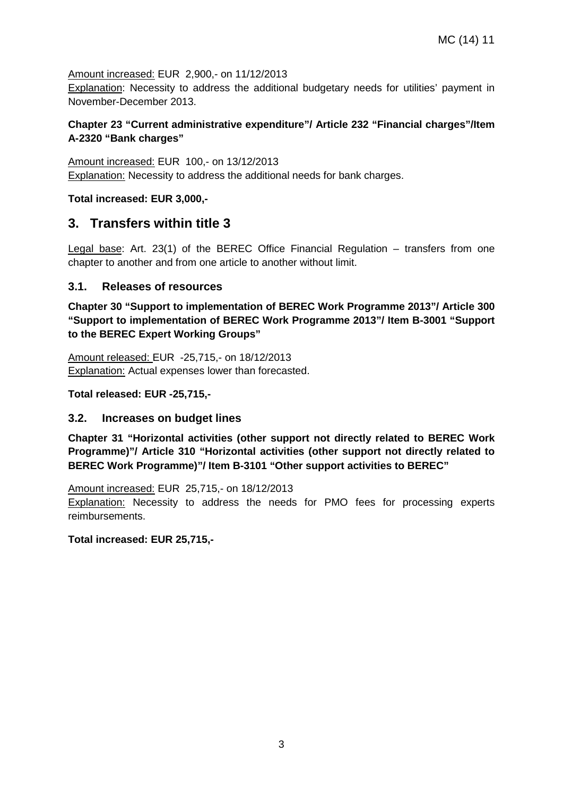Amount increased: EUR 2,900,- on 11/12/2013

Explanation: Necessity to address the additional budgetary needs for utilities' payment in November-December 2013.

#### **Chapter 23 "Current administrative expenditure"/ Article 232 "Financial charges"/Item A-2320 "Bank charges"**

Amount increased: EUR 100,- on 13/12/2013 Explanation: Necessity to address the additional needs for bank charges.

**Total increased: EUR 3,000,-**

### **3. Transfers within title 3**

Legal base: Art. 23(1) of the BEREC Office Financial Regulation – transfers from one chapter to another and from one article to another without limit.

#### **3.1. Releases of resources**

**Chapter 30 "Support to implementation of BEREC Work Programme 2013"/ Article 300 "Support to implementation of BEREC Work Programme 2013"/ Item B-3001 "Support to the BEREC Expert Working Groups"**

Amount released: EUR -25,715,- on 18/12/2013 Explanation: Actual expenses lower than forecasted.

**Total released: EUR -25,715,-**

#### **3.2. Increases on budget lines**

**Chapter 31 "Horizontal activities (other support not directly related to BEREC Work Programme)"/ Article 310 "Horizontal activities (other support not directly related to BEREC Work Programme)"/ Item B-3101 "Other support activities to BEREC"**

Amount increased: EUR 25,715,- on 18/12/2013

Explanation: Necessity to address the needs for PMO fees for processing experts reimbursements.

**Total increased: EUR 25,715,-**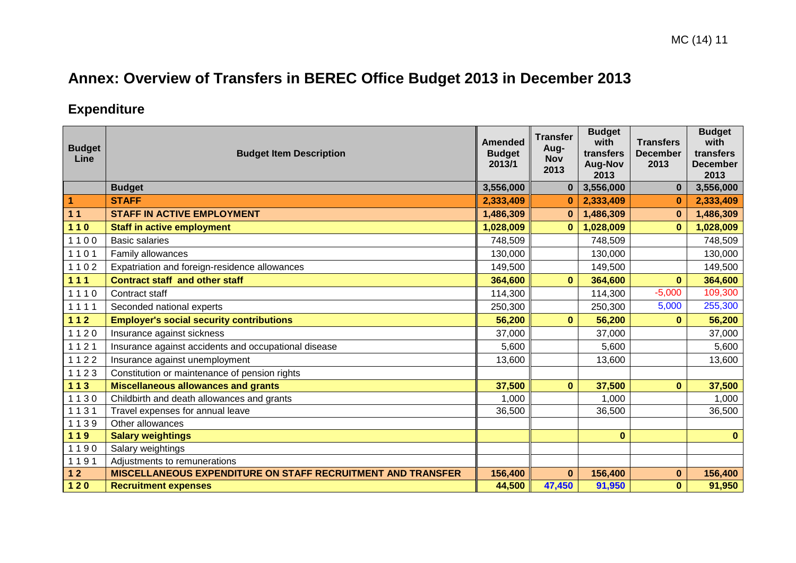# **Annex: Overview of Transfers in BEREC Office Budget 2013 in December 2013**

## **Expenditure**

| <b>Budget</b><br>Line | <b>Budget Item Description</b>                              | <b>Amended</b><br><b>Budget</b><br>2013/1 | <b>Transfer</b><br>Aug-<br><b>Nov</b><br>2013 | <b>Budget</b><br>with<br>transfers<br><b>Aug-Nov</b><br>2013 | <b>Transfers</b><br><b>December</b><br>2013 | <b>Budget</b><br>with<br>transfers<br><b>December</b><br>2013 |
|-----------------------|-------------------------------------------------------------|-------------------------------------------|-----------------------------------------------|--------------------------------------------------------------|---------------------------------------------|---------------------------------------------------------------|
|                       | <b>Budget</b>                                               | 3,556,000                                 | $\bf{0}$                                      | 3,556,000                                                    | $\bf{0}$                                    | 3,556,000                                                     |
| 1                     | <b>STAFF</b>                                                | 2,333,409                                 | $\bf{0}$                                      | 2,333,409                                                    | $\bf{0}$                                    | 2,333,409                                                     |
| 11                    | <b>STAFF IN ACTIVE EMPLOYMENT</b>                           | 1,486,309                                 | $\bf{0}$                                      | 1,486,309                                                    | $\bf{0}$                                    | 1,486,309                                                     |
| $110$                 | <b>Staff in active employment</b>                           | 1,028,009                                 | $\bf{0}$                                      | 1,028,009                                                    | $\bf{0}$                                    | 1,028,009                                                     |
| 1100                  | <b>Basic salaries</b>                                       | 748,509                                   |                                               | 748,509                                                      |                                             | 748,509                                                       |
| 1101                  | Family allowances                                           | 130,000                                   |                                               | 130,000                                                      |                                             | 130,000                                                       |
| 1102                  | Expatriation and foreign-residence allowances               | 149,500                                   |                                               | 149,500                                                      |                                             | 149,500                                                       |
| $111$                 | <b>Contract staff and other staff</b>                       | 364,600                                   | $\mathbf{0}$                                  | 364,600                                                      | $\mathbf{0}$                                | 364,600                                                       |
| 1110                  | Contract staff                                              | 114,300                                   |                                               | 114,300                                                      | $-5,000$                                    | 109,300                                                       |
| 1111                  | Seconded national experts                                   | 250,300                                   |                                               | 250,300                                                      | 5,000                                       | 255,300                                                       |
| $112$                 | <b>Employer's social security contributions</b>             | 56,200                                    | $\mathbf{0}$                                  | 56,200                                                       | $\bf{0}$                                    | 56,200                                                        |
| 1120                  | Insurance against sickness                                  | 37,000                                    |                                               | 37,000                                                       |                                             | 37,000                                                        |
| 1121                  | Insurance against accidents and occupational disease        | 5,600                                     |                                               | 5,600                                                        |                                             | 5,600                                                         |
| 1122                  | Insurance against unemployment                              | 13,600                                    |                                               | 13,600                                                       |                                             | 13,600                                                        |
| 1123                  | Constitution or maintenance of pension rights               |                                           |                                               |                                                              |                                             |                                                               |
| $113$                 | <b>Miscellaneous allowances and grants</b>                  | 37,500                                    | $\mathbf{0}$                                  | 37,500                                                       | $\mathbf{0}$                                | 37,500                                                        |
| 1130                  | Childbirth and death allowances and grants                  | 1,000                                     |                                               | 1,000                                                        |                                             | 1,000                                                         |
| 1131                  | Travel expenses for annual leave                            | 36,500                                    |                                               | 36,500                                                       |                                             | 36,500                                                        |
| 1139                  | Other allowances                                            |                                           |                                               |                                                              |                                             |                                                               |
| 119                   | <b>Salary weightings</b>                                    |                                           |                                               | $\bf{0}$                                                     |                                             | $\mathbf{0}$                                                  |
| 1190                  | Salary weightings                                           |                                           |                                               |                                                              |                                             |                                                               |
| 1191                  | Adjustments to remunerations                                |                                           |                                               |                                                              |                                             |                                                               |
| $12$                  | MISCELLANEOUS EXPENDITURE ON STAFF RECRUITMENT AND TRANSFER | 156,400                                   | $\mathbf{0}$                                  | 156,400                                                      | $\bf{0}$                                    | 156,400                                                       |
| $120$                 | <b>Recruitment expenses</b>                                 | 44,500                                    | 47,450                                        | 91,950                                                       | $\mathbf{0}$                                | 91,950                                                        |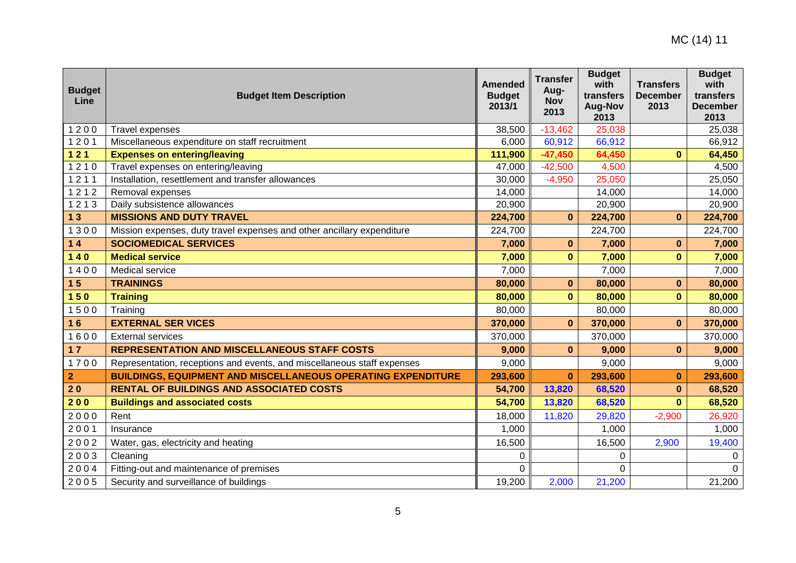| <b>Budget</b><br>Line | <b>Budget Item Description</b>                                          | <b>Amended</b><br><b>Budget</b><br>2013/1 | <b>Transfer</b><br>Aug-<br><b>Nov</b><br>2013 | <b>Budget</b><br>with<br>transfers<br><b>Aug-Nov</b><br>2013 | <b>Transfers</b><br><b>December</b><br>2013 | <b>Budget</b><br>with<br>transfers<br><b>December</b><br>2013 |
|-----------------------|-------------------------------------------------------------------------|-------------------------------------------|-----------------------------------------------|--------------------------------------------------------------|---------------------------------------------|---------------------------------------------------------------|
| 1200                  | <b>Travel expenses</b>                                                  | 38,500                                    | $-13,462$                                     | 25,038                                                       |                                             | 25,038                                                        |
| 1201                  | Miscellaneous expenditure on staff recruitment                          | 6,000                                     | 60,912                                        | 66,912                                                       |                                             | 66,912                                                        |
| $121$                 | <b>Expenses on entering/leaving</b>                                     | 111,900                                   | $-47,450$                                     | 64,450                                                       | $\mathbf{0}$                                | 64,450                                                        |
| 1210                  | Travel expenses on entering/leaving                                     | 47,000                                    | $-42,500$                                     | 4,500                                                        |                                             | 4,500                                                         |
| 1211                  | Installation, resettlement and transfer allowances                      | 30,000                                    | $-4,950$                                      | 25,050                                                       |                                             | 25,050                                                        |
| 1212                  | Removal expenses                                                        | 14,000                                    |                                               | 14,000                                                       |                                             | 14,000                                                        |
| 1213                  | Daily subsistence allowances                                            | 20,900                                    |                                               | 20,900                                                       |                                             | 20,900                                                        |
| 13                    | <b>MISSIONS AND DUTY TRAVEL</b>                                         | 224,700                                   | $\bf{0}$                                      | 224,700                                                      | $\bf{0}$                                    | 224,700                                                       |
| 1300                  | Mission expenses, duty travel expenses and other ancillary expenditure  | 224,700                                   |                                               | 224,700                                                      |                                             | 224,700                                                       |
| 14                    | <b>SOCIOMEDICAL SERVICES</b>                                            | 7,000                                     | $\mathbf{0}$                                  | 7,000                                                        | $\bf{0}$                                    | 7,000                                                         |
| $140$                 | <b>Medical service</b>                                                  | 7,000                                     | $\mathbf{0}$                                  | 7,000                                                        | $\mathbf{0}$                                | 7,000                                                         |
| 1400                  | Medical service                                                         | 7,000                                     |                                               | 7,000                                                        |                                             | 7,000                                                         |
| 15                    | <b>TRAININGS</b>                                                        | 80,000                                    | $\bf{0}$                                      | 80,000                                                       | $\bf{0}$                                    | 80,000                                                        |
| 150                   | <b>Training</b>                                                         | 80,000                                    | $\mathbf{0}$                                  | 80,000                                                       | $\bf{0}$                                    | 80,000                                                        |
| 1500                  | Training                                                                | 80,000                                    |                                               | 80,000                                                       |                                             | 80,000                                                        |
| 16                    | <b>EXTERNAL SER VICES</b>                                               | 370,000                                   | $\mathbf{0}$                                  | 370,000                                                      | $\bf{0}$                                    | 370,000                                                       |
| 1600                  | <b>External services</b>                                                | 370,000                                   |                                               | 370,000                                                      |                                             | 370,000                                                       |
| 17                    | <b>REPRESENTATION AND MISCELLANEOUS STAFF COSTS</b>                     | 9,000                                     | $\bf{0}$                                      | 9,000                                                        | $\bf{0}$                                    | 9,000                                                         |
| 1700                  | Representation, receptions and events, and miscellaneous staff expenses | 9,000                                     |                                               | 9,000                                                        |                                             | 9,000                                                         |
| $\overline{2}$        | <b>BUILDINGS, EQUIPMENT AND MISCELLANEOUS OPERATING EXPENDITURE</b>     | 293,600                                   | $\bf{0}$                                      | 293,600                                                      | $\bf{0}$                                    | 293,600                                                       |
| 20                    | <b>RENTAL OF BUILDINGS AND ASSOCIATED COSTS</b>                         | 54,700                                    | 13,820                                        | 68,520                                                       | $\bf{0}$                                    | 68,520                                                        |
| 200                   | <b>Buildings and associated costs</b>                                   | 54,700                                    | 13,820                                        | 68,520                                                       | $\mathbf{0}$                                | 68,520                                                        |
| 2000                  | Rent                                                                    | 18,000                                    | 11,820                                        | 29,820                                                       | $-2,900$                                    | 26,920                                                        |
| 2001                  | Insurance                                                               | 1,000                                     |                                               | 1,000                                                        |                                             | 1,000                                                         |
| 2002                  | Water, gas, electricity and heating                                     | 16,500                                    |                                               | 16,500                                                       | 2,900                                       | 19,400                                                        |
| 2003                  | Cleaning                                                                | 0                                         |                                               | 0                                                            |                                             | 0                                                             |
| 2004                  | Fitting-out and maintenance of premises                                 | 0                                         |                                               | $\Omega$                                                     |                                             | $\Omega$                                                      |
| 2005                  | Security and surveillance of buildings                                  | 19,200                                    | 2,000                                         | 21,200                                                       |                                             | 21,200                                                        |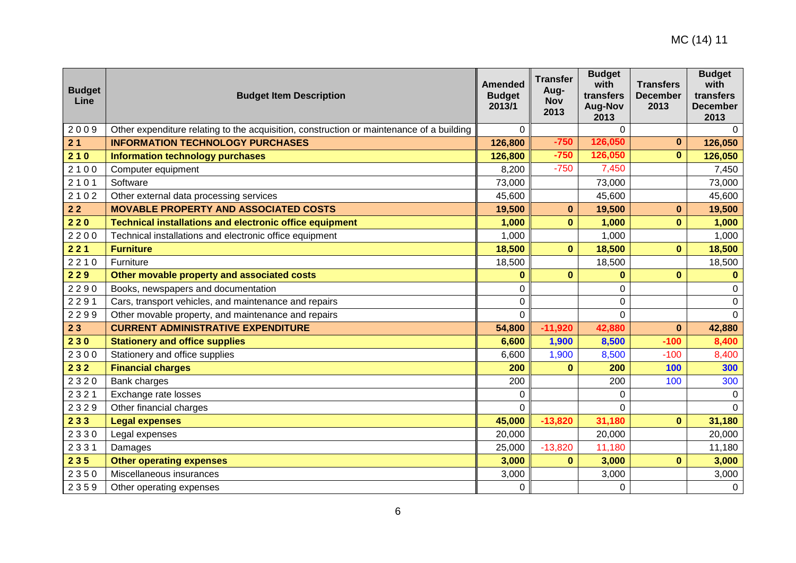| <b>Budget</b><br>Line | <b>Budget Item Description</b>                                                           | <b>Amended</b><br><b>Budget</b><br>2013/1 | <b>Transfer</b><br>Aug-<br><b>Nov</b><br>2013 | <b>Budget</b><br>with<br>transfers<br><b>Aug-Nov</b><br>2013 | <b>Transfers</b><br><b>December</b><br>2013 | <b>Budget</b><br>with<br>transfers<br><b>December</b><br>2013 |
|-----------------------|------------------------------------------------------------------------------------------|-------------------------------------------|-----------------------------------------------|--------------------------------------------------------------|---------------------------------------------|---------------------------------------------------------------|
| 2009                  | Other expenditure relating to the acquisition, construction or maintenance of a building | 0                                         |                                               | $\Omega$                                                     |                                             | $\Omega$                                                      |
| 21                    | <b>INFORMATION TECHNOLOGY PURCHASES</b>                                                  | 126,800                                   | $-750$                                        | 126,050                                                      | $\bf{0}$                                    | 126,050                                                       |
| 210                   | <b>Information technology purchases</b>                                                  | 126,800                                   | $-750$                                        | 126,050                                                      | $\mathbf{0}$                                | 126,050                                                       |
| 2100                  | Computer equipment                                                                       | 8,200                                     | $-750$                                        | 7,450                                                        |                                             | 7,450                                                         |
| 2101                  | Software                                                                                 | 73,000                                    |                                               | 73,000                                                       |                                             | 73,000                                                        |
| 2102                  | Other external data processing services                                                  | 45,600                                    |                                               | 45,600                                                       |                                             | 45,600                                                        |
| $22$                  | <b>MOVABLE PROPERTY AND ASSOCIATED COSTS</b>                                             | 19,500                                    | $\bf{0}$                                      | 19,500                                                       | $\bf{0}$                                    | 19,500                                                        |
| 220                   | <b>Technical installations and electronic office equipment</b>                           | 1,000                                     | $\bf{0}$                                      | 1,000                                                        | $\bf{0}$                                    | 1,000                                                         |
| 2200                  | Technical installations and electronic office equipment                                  | 1,000                                     |                                               | 1,000                                                        |                                             | 1,000                                                         |
| 221                   | <b>Furniture</b>                                                                         | 18,500                                    | $\mathbf{0}$                                  | 18,500                                                       | $\mathbf{0}$                                | 18,500                                                        |
| 2210                  | Furniture                                                                                | 18,500                                    |                                               | 18,500                                                       |                                             | 18,500                                                        |
| 229                   | Other movable property and associated costs                                              | $\bf{0}$                                  | $\mathbf{0}$                                  | $\bf{0}$                                                     | $\mathbf{0}$                                | $\mathbf{0}$                                                  |
| 2290                  | Books, newspapers and documentation                                                      | 0                                         |                                               | 0                                                            |                                             | 0                                                             |
| 2291                  | Cars, transport vehicles, and maintenance and repairs                                    | 0                                         |                                               | 0                                                            |                                             | $\pmb{0}$                                                     |
| 2299                  | Other movable property, and maintenance and repairs                                      | $\Omega$                                  |                                               | $\Omega$                                                     |                                             | $\mathbf 0$                                                   |
| 23                    | <b>CURRENT ADMINISTRATIVE EXPENDITURE</b>                                                | 54,800                                    | $-11,920$                                     | 42,880                                                       | $\mathbf{0}$                                | 42,880                                                        |
| 230                   | <b>Stationery and office supplies</b>                                                    | 6,600                                     | 1,900                                         | 8,500                                                        | $-100$                                      | 8,400                                                         |
| 2300                  | Stationery and office supplies                                                           | 6,600                                     | 1,900                                         | 8,500                                                        | $-100$                                      | 8,400                                                         |
| 232                   | <b>Financial charges</b>                                                                 | 200                                       |                                               | 200                                                          | 100                                         | 300                                                           |
| 2320                  | Bank charges                                                                             | 200                                       |                                               | 200                                                          | 100                                         | 300                                                           |
| 2321                  | Exchange rate losses                                                                     | 0                                         |                                               | $\Omega$                                                     |                                             | 0                                                             |
| 2329                  | Other financial charges                                                                  | $\mathbf 0$                               |                                               | $\Omega$                                                     |                                             | $\Omega$                                                      |
| 233                   | <b>Legal expenses</b>                                                                    | 45,000                                    | $-13,820$                                     | 31,180                                                       | $\mathbf{0}$                                | 31,180                                                        |
| 2330                  | Legal expenses                                                                           | 20,000                                    |                                               | 20,000                                                       |                                             | 20,000                                                        |
| 2331                  | Damages                                                                                  | 25,000                                    | $-13,820$                                     | 11,180                                                       |                                             | 11,180                                                        |
| 235                   | <b>Other operating expenses</b>                                                          | 3,000                                     | $\mathbf{0}$                                  | 3,000                                                        | $\mathbf{0}$                                | 3,000                                                         |
| 2350                  | Miscellaneous insurances                                                                 | 3,000                                     |                                               | 3,000                                                        |                                             | 3,000                                                         |
| 2359                  | Other operating expenses                                                                 | 0                                         |                                               | 0                                                            |                                             | $\mathbf 0$                                                   |